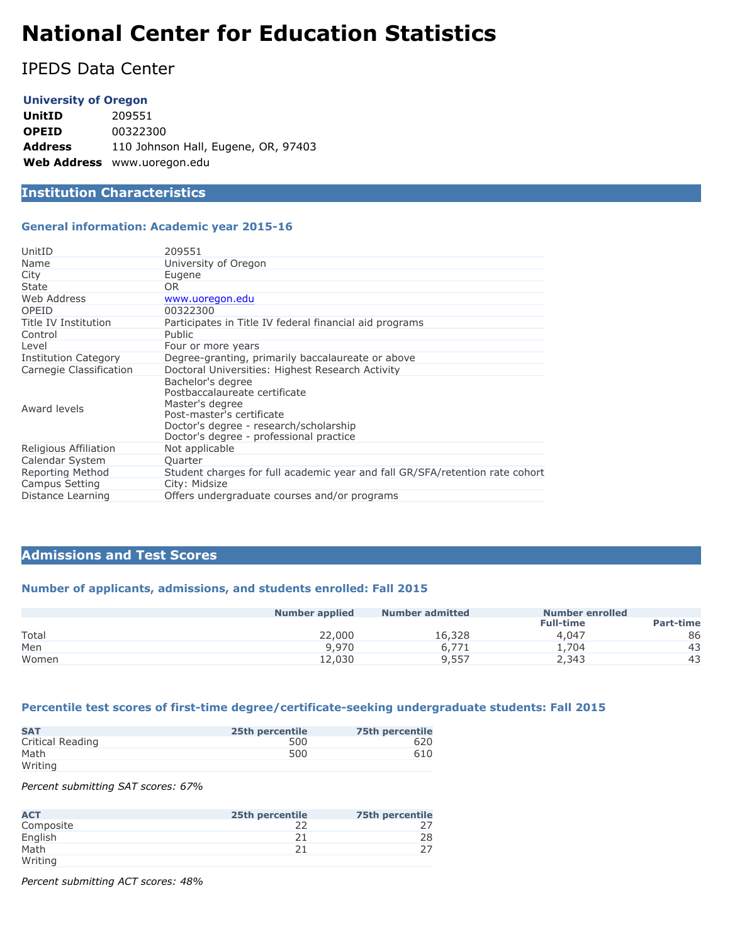# **National Center for Education Statistics**

IPEDS Data Center

#### **University of Oregon**

**UnitID** 209551 **OPEID** 00322300 **Address** 110 Johnson Hall, Eugene, OR, 97403 **Web Address** www.uoregon.edu

# **Institution Characteristics**

#### **General information: Academic year 2015-16**

| UnitID                      | 209551                                                                                                                                                                                  |
|-----------------------------|-----------------------------------------------------------------------------------------------------------------------------------------------------------------------------------------|
| Name                        | University of Oregon                                                                                                                                                                    |
| City                        | Eugene                                                                                                                                                                                  |
| State                       | OR.                                                                                                                                                                                     |
| Web Address                 | www.uoregon.edu                                                                                                                                                                         |
| OPEID                       | 00322300                                                                                                                                                                                |
| Title IV Institution        | Participates in Title IV federal financial aid programs                                                                                                                                 |
| Control                     | <b>Public</b>                                                                                                                                                                           |
| Level                       | Four or more years                                                                                                                                                                      |
| <b>Institution Category</b> | Degree-granting, primarily baccalaureate or above                                                                                                                                       |
| Carnegie Classification     | Doctoral Universities: Highest Research Activity                                                                                                                                        |
| Award levels                | Bachelor's degree<br>Postbaccalaureate certificate<br>Master's degree<br>Post-master's certificate<br>Doctor's degree - research/scholarship<br>Doctor's degree - professional practice |
| Religious Affiliation       | Not applicable                                                                                                                                                                          |
| Calendar System             | Quarter                                                                                                                                                                                 |
| Reporting Method            | Student charges for full academic year and fall GR/SFA/retention rate cohort                                                                                                            |
| Campus Setting              | City: Midsize                                                                                                                                                                           |
| Distance Learning           | Offers undergraduate courses and/or programs                                                                                                                                            |

#### **Admissions and Test Scores**

#### **Number of applicants, admissions, and students enrolled: Fall 2015**

|       | <b>Number applied</b> | <b>Number admitted</b> | Number enrolled  |                  |
|-------|-----------------------|------------------------|------------------|------------------|
|       |                       |                        | <b>Full-time</b> | <b>Part-time</b> |
| Total | 22,000                | 16,328                 | 4,047            | 86               |
| Men   | 9,970                 | 6.771                  | 4.704            | 43               |
| Women | 12,030                | 9,557                  | 2,343            | 43               |

#### **Percentile test scores of first-time degree/certificate-seeking undergraduate students: Fall 2015**

| <b>SAT</b>       | 25th percentile | <b>75th percentile</b> |
|------------------|-----------------|------------------------|
| Critical Reading | 500             | 620                    |
| Math             | 500             | 610                    |
| Writing          |                 |                        |

*Percent submitting SAT scores: 67%*

| <b>ACT</b> | 25th percentile | <b>75th percentile</b> |
|------------|-----------------|------------------------|
| Composite  |                 |                        |
| English    |                 | 28                     |
| Math       | ገ 1             |                        |
| Writing    |                 |                        |

*Percent submitting ACT scores: 48%*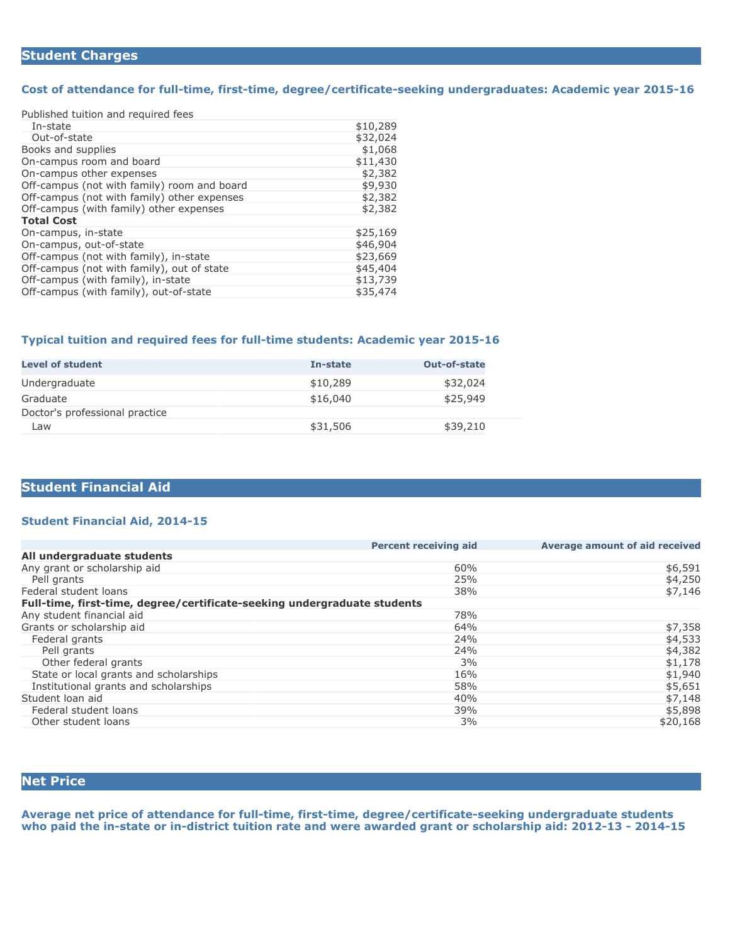## **Student Charges**

#### **Cost of attendance for full-time, first-time, degree/certificate-seeking undergraduates: Academic year 2015-16**

| Published tuition and required fees         |          |
|---------------------------------------------|----------|
| In-state                                    | \$10,289 |
| Out-of-state                                | \$32,024 |
| Books and supplies                          | \$1,068  |
| On-campus room and board                    | \$11,430 |
| On-campus other expenses                    | \$2,382  |
| Off-campus (not with family) room and board | \$9,930  |
| Off-campus (not with family) other expenses | \$2,382  |
| Off-campus (with family) other expenses     | \$2,382  |
| <b>Total Cost</b>                           |          |
| On-campus, in-state                         | \$25,169 |
| On-campus, out-of-state                     | \$46,904 |
| Off-campus (not with family), in-state      | \$23,669 |
| Off-campus (not with family), out of state  | \$45,404 |
| Off-campus (with family), in-state          | \$13,739 |
| Off-campus (with family), out-of-state      | \$35,474 |

#### **Typical tuition and required fees for full-time students: Academic year 2015-16**

| <b>Level of student</b>        | In-state | Out-of-state |
|--------------------------------|----------|--------------|
| Undergraduate                  | \$10,289 | \$32,024     |
| Graduate                       | \$16,040 | \$25,949     |
| Doctor's professional practice |          |              |
| Law                            | \$31,506 | \$39,210     |

## **Student Financial Aid**

#### **Student Financial Aid, 2014-15**

|                                                                          | <b>Percent receiving aid</b> | Average amount of aid received |
|--------------------------------------------------------------------------|------------------------------|--------------------------------|
| All undergraduate students                                               |                              |                                |
| Any grant or scholarship aid                                             | 60%                          | \$6,591                        |
| Pell grants                                                              | 25%                          | \$4,250                        |
| Federal student loans                                                    | 38%                          | \$7,146                        |
| Full-time, first-time, degree/certificate-seeking undergraduate students |                              |                                |
| Any student financial aid                                                | 78%                          |                                |
| Grants or scholarship aid                                                | 64%                          | \$7,358                        |
| Federal grants                                                           | 24%                          | \$4,533                        |
| Pell grants                                                              | 24%                          | \$4,382                        |
| Other federal grants                                                     | 3%                           | \$1,178                        |
| State or local grants and scholarships                                   | 16%                          | \$1,940                        |
| Institutional grants and scholarships                                    | 58%                          | \$5,651                        |
| Student loan aid                                                         | 40%                          | \$7,148                        |
| Federal student loans                                                    | 39%                          | \$5,898                        |
| Other student loans                                                      | 3%                           | \$20,168                       |

# **Net Price**

**Average net price of attendance for full-time, first-time, degree/certificate-seeking undergraduate students who paid the in-state or in-district tuition rate and were awarded grant or scholarship aid: 2012-13 - 2014-15**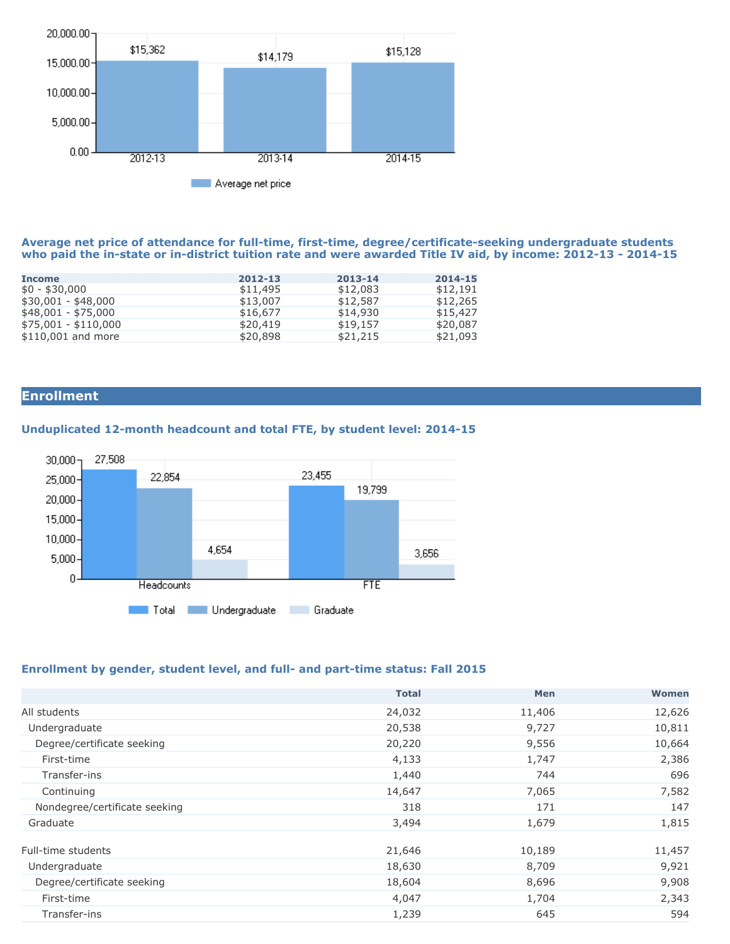

#### **Average net price of attendance for full-time, first-time, degree/certificate-seeking undergraduate students who paid the in-state or in-district tuition rate and were awarded Title IV aid, by income: 2012-13 - 2014-15**

| <b>Income</b>        | 2012-13  | 2013-14  | 2014-15  |
|----------------------|----------|----------|----------|
| $$0 - $30,000$       | \$11,495 | \$12,083 | \$12,191 |
| \$30,001 - \$48,000  | \$13,007 | \$12,587 | \$12,265 |
| $$48,001 - $75,000$  | \$16,677 | \$14,930 | \$15,427 |
| $$75,001 - $110,000$ | \$20,419 | \$19,157 | \$20,087 |
| \$110,001 and more   | \$20,898 | \$21,215 | \$21,093 |
|                      |          |          |          |

# **Enrollment**

## **Unduplicated 12-month headcount and total FTE, by student level: 2014-15**



#### **Enrollment by gender, student level, and full- and part-time status: Fall 2015**

|                               | <b>Total</b> | <b>Men</b> | Women  |
|-------------------------------|--------------|------------|--------|
| All students                  | 24,032       | 11,406     | 12,626 |
| Undergraduate                 | 20,538       | 9,727      | 10,811 |
| Degree/certificate seeking    | 20,220       | 9,556      | 10,664 |
| First-time                    | 4,133        | 1,747      | 2,386  |
| Transfer-ins                  | 1,440        | 744        | 696    |
| Continuing                    | 14,647       | 7,065      | 7,582  |
| Nondegree/certificate seeking | 318          | 171        | 147    |
| Graduate                      | 3,494        | 1,679      | 1,815  |
| Full-time students            | 21,646       | 10,189     | 11,457 |
| Undergraduate                 | 18,630       | 8,709      | 9,921  |
| Degree/certificate seeking    | 18,604       | 8,696      | 9,908  |
| First-time                    | 4,047        | 1,704      | 2,343  |
| Transfer-ins                  | 1,239        | 645        | 594    |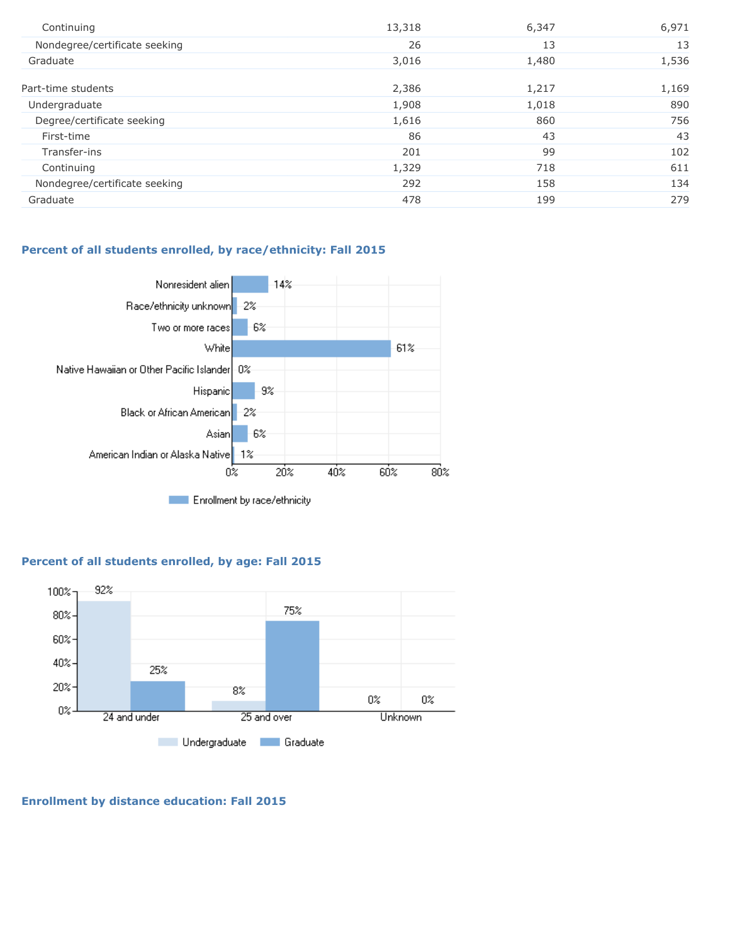| Continuing                    | 13,318 | 6,347 | 6,971 |
|-------------------------------|--------|-------|-------|
| Nondegree/certificate seeking | 26     | 13    | 13    |
| Graduate                      | 3,016  | 1,480 | 1,536 |
| Part-time students            | 2,386  | 1,217 | 1,169 |
| Undergraduate                 | 1,908  | 1,018 | 890   |
| Degree/certificate seeking    | 1,616  | 860   | 756   |
| First-time                    | 86     | 43    | 43    |
| Transfer-ins                  | 201    | 99    | 102   |
| Continuing                    | 1,329  | 718   | 611   |
| Nondegree/certificate seeking | 292    | 158   | 134   |
| Graduate                      | 478    | 199   | 279   |

### **Percent of all students enrolled, by race/ethnicity: Fall 2015**



## **Percent of all students enrolled, by age: Fall 2015**



## **Enrollment by distance education: Fall 2015**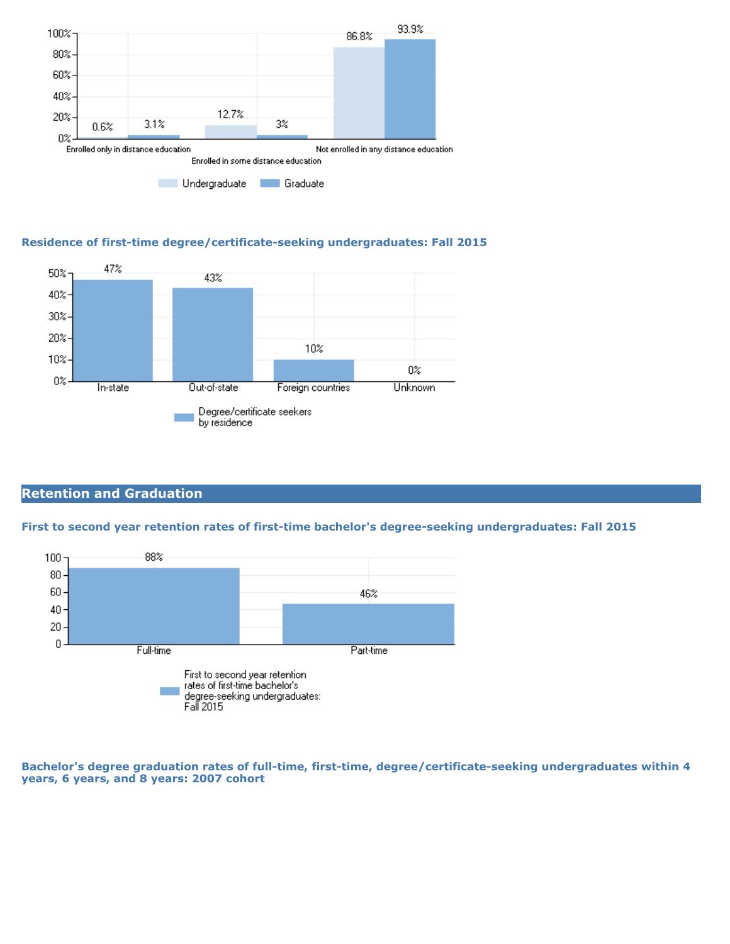

## **Residence of first-time degree/certificate-seeking undergraduates: Fall 2015**



# **Retention and Graduation**

#### **First to second year retention rates of first-time bachelor's degree-seeking undergraduates: Fall 2015**



**Bachelor's degree graduation rates of full-time, first-time, degree/certificate-seeking undergraduates within 4 years, 6 years, and 8 years: 2007 cohort**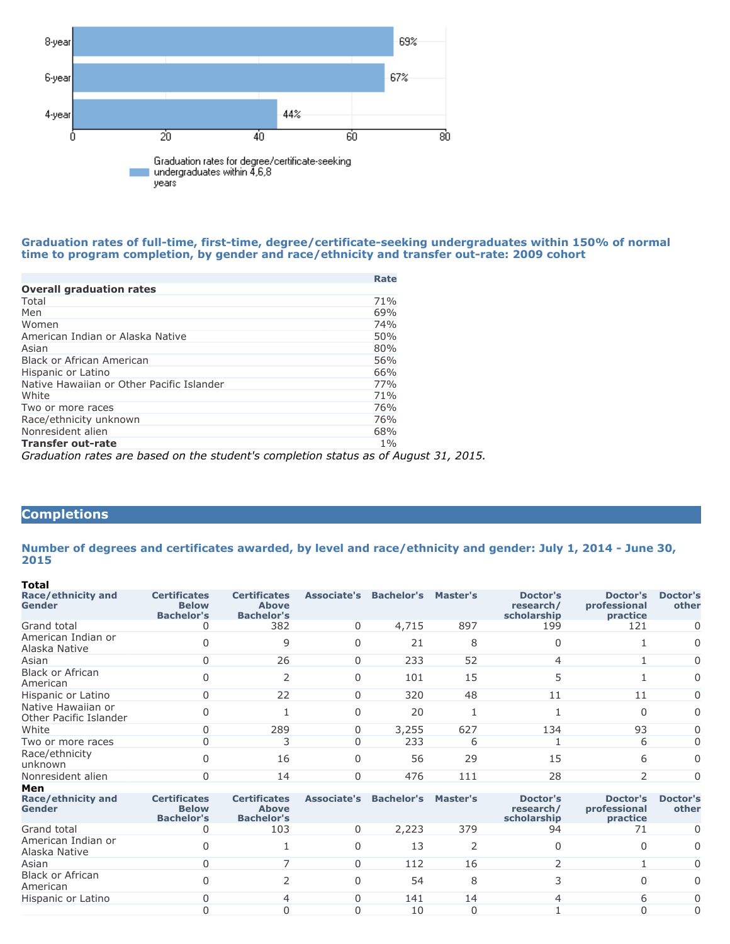

#### **Graduation rates of full-time, first-time, degree/certificate-seeking undergraduates within 150% of normal time to program completion, by gender and race/ethnicity and transfer out-rate: 2009 cohort**

|                                                                                      | Rate  |
|--------------------------------------------------------------------------------------|-------|
| <b>Overall graduation rates</b>                                                      |       |
| Total                                                                                | 71%   |
| Men                                                                                  | 69%   |
| Women                                                                                | 74%   |
| American Indian or Alaska Native                                                     | 50%   |
| Asian                                                                                | 80%   |
| Black or African American                                                            | 56%   |
| Hispanic or Latino                                                                   | 66%   |
| Native Hawaiian or Other Pacific Islander                                            | 77%   |
| White                                                                                | 71%   |
| Two or more races                                                                    | 76%   |
| Race/ethnicity unknown                                                               | 76%   |
| Nonresident alien                                                                    | 68%   |
| Transfer out-rate                                                                    | $1\%$ |
| Graduation rates are based on the student's completion status as of August 31, 2015. |       |

# **Completions**

**Number of degrees and certificates awarded, by level and race/ethnicity and gender: July 1, 2014 - June 30, 2015**

| <b>Total</b>                                 |                                                          |                                                          |              |                                 |          |                                      |                                      |                   |
|----------------------------------------------|----------------------------------------------------------|----------------------------------------------------------|--------------|---------------------------------|----------|--------------------------------------|--------------------------------------|-------------------|
| Race/ethnicity and<br><b>Gender</b>          | <b>Certificates</b><br><b>Below</b><br><b>Bachelor's</b> | <b>Certificates</b><br><b>Above</b><br><b>Bachelor's</b> |              | Associate's Bachelor's Master's |          | Doctor's<br>research/<br>scholarship | Doctor's<br>professional<br>practice | Doctor's<br>other |
| Grand total                                  | 0                                                        | 382                                                      | 0            | 4,715                           | 897      | 199                                  | 121                                  | 0                 |
| American Indian or<br>Alaska Native          | 0                                                        | 9                                                        | <sup>0</sup> | 21                              | 8        | <sup>0</sup>                         |                                      | 0                 |
| Asian                                        | $\Omega$                                                 | 26                                                       | $\Omega$     | 233                             | 52       | 4                                    |                                      | 0                 |
| <b>Black or African</b><br>American          | 0                                                        | 2                                                        | U            | 101                             | 15       | 5                                    |                                      | 0                 |
| Hispanic or Latino                           | 0                                                        | 22                                                       | 0            | 320                             | 48       | 11                                   | 11                                   | 0                 |
| Native Hawaiian or<br>Other Pacific Islander | 0                                                        |                                                          | <sup>0</sup> | 20                              | 1        |                                      | $\Omega$                             | 0                 |
| White                                        | $\Omega$                                                 | 289                                                      | 0            | 3,255                           | 627      | 134                                  | 93                                   | 0                 |
| Two or more races                            | $\Omega$                                                 | 3                                                        | <sup>0</sup> | 233                             | 6        |                                      | 6                                    | 0                 |
| Race/ethnicity<br>unknown                    | 0                                                        | 16                                                       | U            | 56                              | 29       | 15                                   | 6                                    | 0                 |
| Nonresident alien                            | $\Omega$                                                 | 14                                                       | $\Omega$     | 476                             | 111      | 28                                   | $\overline{2}$                       | $\Omega$          |
| Men                                          |                                                          |                                                          |              |                                 |          |                                      |                                      |                   |
| Race/ethnicity and<br><b>Gender</b>          | <b>Certificates</b><br><b>Below</b><br><b>Bachelor's</b> | <b>Certificates</b><br><b>Above</b><br><b>Bachelor's</b> | Associate's  | <b>Bachelor's Master's</b>      |          | Doctor's<br>research/<br>scholarship | Doctor's<br>professional<br>practice | Doctor's<br>other |
| Grand total                                  | 0                                                        | 103                                                      | 0            | 2,223                           | 379      | 94                                   | 71                                   | 0                 |
| American Indian or<br>Alaska Native          | 0                                                        |                                                          |              | 13                              | 2        | 0                                    | $\Omega$                             | 0                 |
| Asian                                        | 0                                                        |                                                          | <sup>0</sup> | 112                             | 16       |                                      |                                      | 0                 |
| <b>Black or African</b><br>American          | 0                                                        | $\mathcal{P}$                                            | <sup>n</sup> | 54                              | 8        |                                      | 0                                    | 0                 |
| Hispanic or Latino                           | 0                                                        |                                                          |              | 141                             | 14       |                                      | 6                                    | 0                 |
|                                              | 0                                                        |                                                          |              | 10                              | $\Omega$ |                                      | 0                                    | 0                 |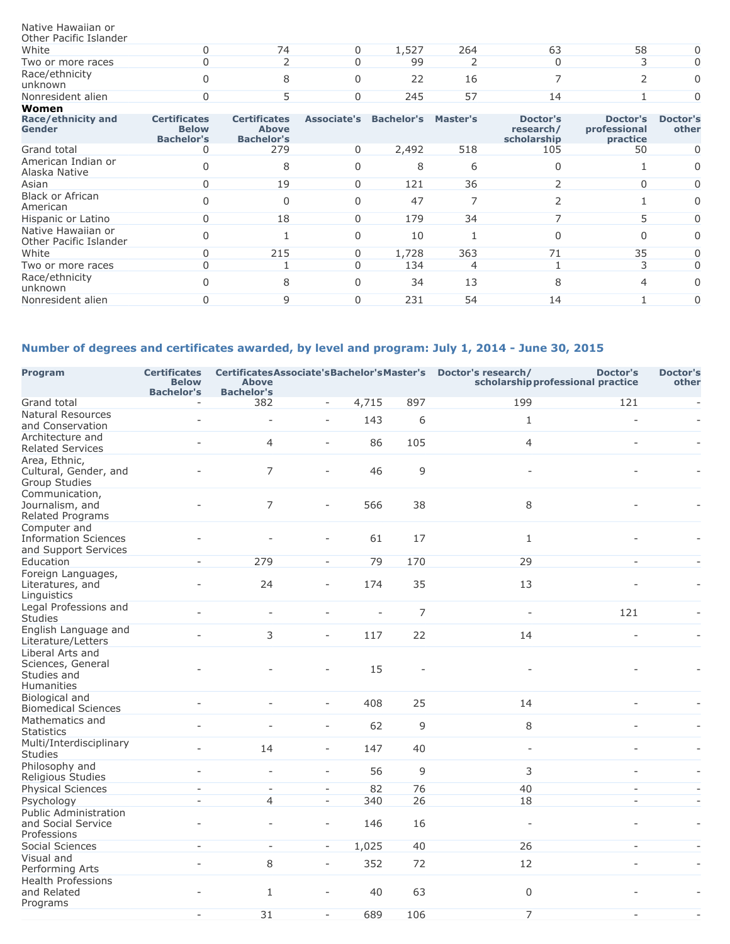#### Native Hawaiian or

| Other Pacific Islander    |  |       |     |    |        |
|---------------------------|--|-------|-----|----|--------|
| White                     |  | 1.527 | 264 | 58 | $\cap$ |
| Two or more races         |  | 99    |     |    |        |
| Race/ethnicity<br>unknown |  |       | 16  |    |        |
| Nonresident alien         |  | 245   |     |    |        |
| <b>Women</b>              |  |       |     |    |        |

| women                                        |                                                          |                                                          |             |                   |          |                                      |                                      |                          |
|----------------------------------------------|----------------------------------------------------------|----------------------------------------------------------|-------------|-------------------|----------|--------------------------------------|--------------------------------------|--------------------------|
| Race/ethnicity and<br>Gender                 | <b>Certificates</b><br><b>Below</b><br><b>Bachelor's</b> | <b>Certificates</b><br><b>Above</b><br><b>Bachelor's</b> | Associate's | <b>Bachelor's</b> | Master's | Doctor's<br>research/<br>scholarship | Doctor's<br>professional<br>practice | <b>Doctor's</b><br>other |
| Grand total                                  |                                                          | 279                                                      | 0           | 2,492             | 518      | 105                                  | 50                                   | $\Omega$                 |
| American Indian or<br>Alaska Native          |                                                          | 8                                                        |             | 8                 | 6        |                                      |                                      | $\Omega$                 |
| Asian                                        | $\Omega$                                                 | 19                                                       |             | 121               | 36       |                                      | 0                                    | $\Omega$                 |
| <b>Black or African</b><br>American          |                                                          |                                                          |             | 47                |          |                                      |                                      | $\Omega$                 |
| Hispanic or Latino                           | 0                                                        | 18                                                       | 0           | 179               | 34       |                                      |                                      | $\Omega$                 |
| Native Hawaiian or<br>Other Pacific Islander |                                                          |                                                          |             | 10                |          |                                      | O                                    | $\Omega$                 |
| White                                        | U                                                        | 215                                                      | 0           | 1,728             | 363      | 71                                   | 35                                   | 0                        |
| Two or more races                            |                                                          |                                                          |             | 134               | 4        |                                      |                                      | $\Omega$                 |
| Race/ethnicity<br>unknown                    |                                                          | 8                                                        |             | 34                | 13       | 8                                    | 4                                    | $\Omega$                 |
| Nonresident alien                            |                                                          |                                                          |             | 231               | 54       | 14                                   |                                      | $\Omega$                 |
|                                              |                                                          |                                                          |             |                   |          |                                      |                                      |                          |

## **Number of degrees and certificates awarded, by level and program: July 1, 2014 - June 30, 2015**

| <b>Program</b>                                                      | <b>Certificates</b><br><b>Below</b><br><b>Bachelor's</b> | <b>Above</b><br><b>Bachelor's</b> | Certificates Associate's Bachelor's Master's  Doctor's research/ |                          | <b>Doctor's</b><br>scholarship professional practice |                          | <b>Doctor's</b><br>other |                |
|---------------------------------------------------------------------|----------------------------------------------------------|-----------------------------------|------------------------------------------------------------------|--------------------------|------------------------------------------------------|--------------------------|--------------------------|----------------|
| Grand total                                                         | $\overline{\phantom{a}}$                                 | 382                               | $\overline{\phantom{a}}$                                         | 4,715                    | 897                                                  | 199                      | 121                      | ÷,             |
| <b>Natural Resources</b><br>and Conservation                        | Î,                                                       |                                   | $\overline{a}$                                                   | 143                      | 6                                                    | $\mathbf{1}$             |                          |                |
| Architecture and<br><b>Related Services</b>                         | $\overline{a}$                                           | 4                                 | $\bar{a}$                                                        | 86                       | 105                                                  | 4                        |                          |                |
| Area, Ethnic,<br>Cultural, Gender, and<br>Group Studies             |                                                          | 7                                 |                                                                  | 46                       | 9                                                    |                          |                          |                |
| Communication,<br>Journalism, and<br>Related Programs               |                                                          | 7                                 | ÷                                                                | 566                      | 38                                                   | 8                        |                          |                |
| Computer and<br><b>Information Sciences</b><br>and Support Services |                                                          |                                   | ÷                                                                | 61                       | 17                                                   | $\mathbf{1}$             |                          |                |
| Education                                                           | $\sim$                                                   | 279                               | $\sim$                                                           | 79                       | 170                                                  | 29                       | $\overline{\phantom{a}}$ |                |
| Foreign Languages,<br>Literatures, and<br>Linguistics               |                                                          | 24                                | ÷.                                                               | 174                      | 35                                                   | 13                       |                          |                |
| Legal Professions and<br><b>Studies</b>                             |                                                          | $\overline{a}$                    | ۳                                                                | $\overline{\phantom{a}}$ | $\overline{7}$                                       | $\overline{\phantom{a}}$ | 121                      |                |
| English Language and<br>Literature/Letters                          |                                                          | 3                                 | $\overline{\phantom{a}}$                                         | 117                      | 22                                                   | 14                       | $\sim$                   | ÷,             |
| Liberal Arts and<br>Sciences, General<br>Studies and<br>Humanities  |                                                          |                                   |                                                                  | 15                       |                                                      |                          |                          |                |
| Biological and<br><b>Biomedical Sciences</b>                        |                                                          |                                   | ÷                                                                | 408                      | 25                                                   | 14                       |                          |                |
| Mathematics and<br><b>Statistics</b>                                |                                                          |                                   | ÷.                                                               | 62                       | 9                                                    | 8                        |                          |                |
| Multi/Interdisciplinary<br><b>Studies</b>                           |                                                          | 14                                | $\overline{\phantom{a}}$                                         | 147                      | 40                                                   | ÷.                       |                          |                |
| Philosophy and<br>Religious Studies                                 |                                                          | L.                                | $\bar{a}$                                                        | 56                       | 9                                                    | 3                        |                          |                |
| <b>Physical Sciences</b>                                            | $\sim$                                                   | $\overline{\phantom{a}}$          | $\sim$                                                           | 82                       | 76                                                   | 40                       | $\sim$                   |                |
| Psychology                                                          | $\sim$                                                   | 4                                 | $\omega$                                                         | 340                      | 26                                                   | 18                       | $\overline{a}$           | $\overline{a}$ |
| <b>Public Administration</b><br>and Social Service                  |                                                          |                                   | $\overline{\phantom{a}}$                                         | 146                      | 16                                                   |                          |                          |                |
| Professions                                                         |                                                          |                                   |                                                                  |                          |                                                      |                          |                          |                |
| Social Sciences                                                     | $\sim$                                                   | $\sim$                            | $\sim$                                                           | 1,025                    | 40                                                   | 26                       | $\sim$                   |                |
| Visual and<br>Performing Arts                                       |                                                          | 8                                 | $\overline{\phantom{a}}$                                         | 352                      | 72                                                   | 12                       |                          |                |
| <b>Health Professions</b><br>and Related<br>Programs                |                                                          | $\mathbf{1}$                      |                                                                  | 40                       | 63                                                   | $\Omega$                 |                          |                |
|                                                                     | $\sim$                                                   | 31                                | $\sim$                                                           | 689                      | 106                                                  | 7                        | $\sim$                   | ÷,             |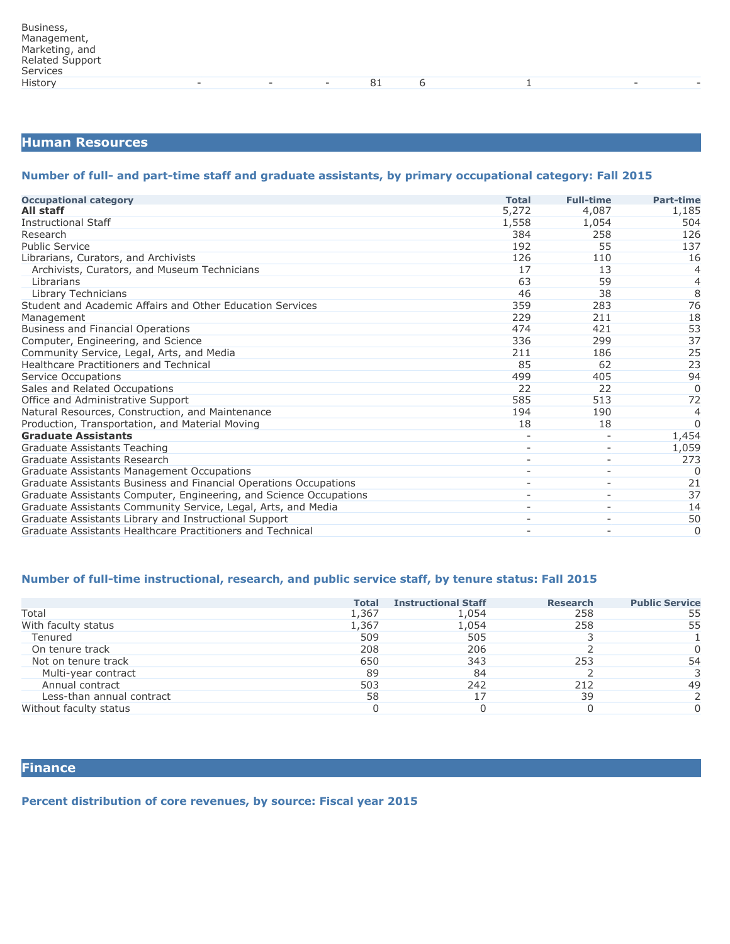## **Human Resources**

#### **Number of full- and part-time staff and graduate assistants, by primary occupational category: Fall 2015**

| <b>Occupational category</b>                                       | <b>Total</b> | <b>Full-time</b>         | <b>Part-time</b> |
|--------------------------------------------------------------------|--------------|--------------------------|------------------|
| All staff                                                          | 5,272        | 4,087                    | 1,185            |
| <b>Instructional Staff</b>                                         | 1,558        | 1,054                    | 504              |
| Research                                                           | 384          | 258                      | 126              |
| <b>Public Service</b>                                              | 192          | 55                       | 137              |
| Librarians, Curators, and Archivists                               | 126          | 110                      | 16               |
| Archivists, Curators, and Museum Technicians                       | 17           | 13                       | $\overline{4}$   |
| Librarians                                                         | 63           | 59                       | $\overline{4}$   |
| Library Technicians                                                | 46           | 38                       | $\overline{8}$   |
| Student and Academic Affairs and Other Education Services          | 359          | 283                      | 76               |
| Management                                                         | 229          | 211                      | 18               |
| <b>Business and Financial Operations</b>                           | 474          | 421                      | 53               |
| Computer, Engineering, and Science                                 | 336          | 299                      | 37               |
| Community Service, Legal, Arts, and Media                          | 211          | 186                      | 25               |
| Healthcare Practitioners and Technical                             | 85           | 62                       | 23               |
| Service Occupations                                                | 499          | 405                      | 94               |
| Sales and Related Occupations                                      | 22           | 22                       | $\Omega$         |
| Office and Administrative Support                                  | 585          | 513                      | 72               |
| Natural Resources, Construction, and Maintenance                   | 194          | 190                      | 4                |
| Production, Transportation, and Material Moving                    | 18           | 18                       | $\Omega$         |
| <b>Graduate Assistants</b>                                         |              |                          | 1,454            |
| Graduate Assistants Teaching                                       |              |                          | 1,059            |
| Graduate Assistants Research                                       |              |                          | 273              |
| Graduate Assistants Management Occupations                         |              | $\overline{\phantom{a}}$ | O                |
| Graduate Assistants Business and Financial Operations Occupations  |              |                          | 21               |
| Graduate Assistants Computer, Engineering, and Science Occupations |              | $\overline{\phantom{0}}$ | 37               |
| Graduate Assistants Community Service, Legal, Arts, and Media      |              | $\overline{\phantom{a}}$ | 14               |
| Graduate Assistants Library and Instructional Support              |              | $\overline{\phantom{a}}$ | 50               |
| Graduate Assistants Healthcare Practitioners and Technical         |              |                          | 0                |

## **Number of full-time instructional, research, and public service staff, by tenure status: Fall 2015**

|                           | <b>Total</b> | <b>Instructional Staff</b> | <b>Research</b> | <b>Public Service</b> |
|---------------------------|--------------|----------------------------|-----------------|-----------------------|
| Total                     | 1,367        | 1,054                      | 258             | 55                    |
| With faculty status       | 1,367        | 1,054                      | 258             | 55                    |
| Tenured                   | 509          | 505                        |                 |                       |
| On tenure track           | 208          | 206                        |                 |                       |
| Not on tenure track       | 650          | 343                        | 253             | 54                    |
| Multi-year contract       | 89           | 84                         |                 |                       |
| Annual contract           | 503          | 242                        | 212             | 49                    |
| Less-than annual contract | 58           | 17                         | 39              |                       |
| Without faculty status    |              |                            |                 |                       |

**Finance**

#### **Percent distribution of core revenues, by source: Fiscal year 2015**